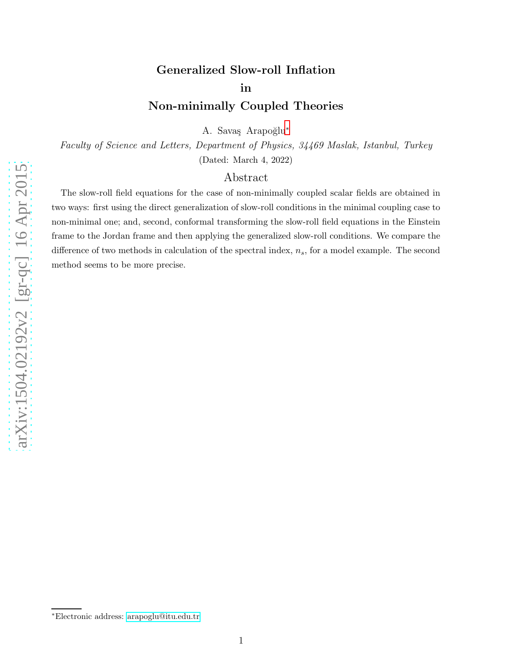# Generalized Slow-roll Inflation in Non-minimally Coupled Theories

A. Savaş Arapoğlu<sup>\*</sup>

Faculty of Science and Letters, Department of Physics, 34469 Maslak, Istanbul, Turkey (Dated: March 4, 2022)

## Abstract

The slow-roll field equations for the case of non-minimally coupled scalar fields are obtained in two ways: first using the direct generalization of slow-roll conditions in the minimal coupling case to non-minimal one; and, second, conformal transforming the slow-roll field equations in the Einstein frame to the Jordan frame and then applying the generalized slow-roll conditions. We compare the difference of two methods in calculation of the spectral index,  $n_s$ , for a model example. The second method seems to be more precise.

<span id="page-0-0"></span><sup>∗</sup>Electronic address: [arapoglu@itu.edu.tr](mailto:arapoglu@itu.edu.tr)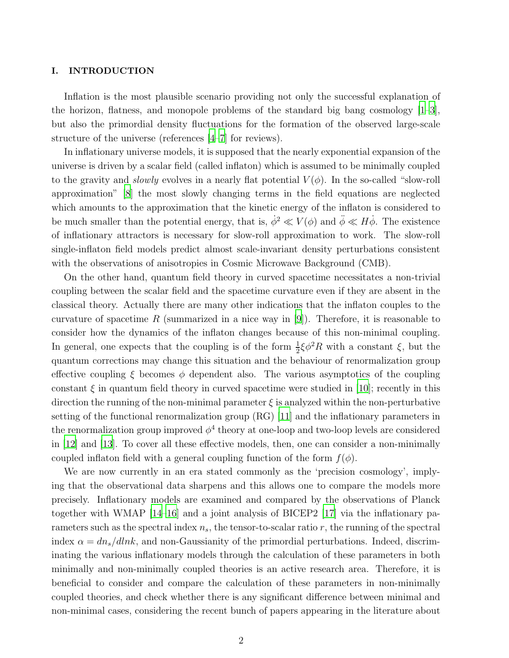### I. INTRODUCTION

Inflation is the most plausible scenario providing not only the successful explanation of the horizon, flatness, and monopole problems of the standard big bang cosmology [\[1](#page-8-0)[–3](#page-8-1)], but also the primordial density fluctuations for the formation of the observed large-scale structure of the universe (references [\[4](#page-8-2)[–7](#page-8-3)] for reviews).

In inflationary universe models, it is supposed that the nearly exponential expansion of the universe is driven by a scalar field (called inflaton) which is assumed to be minimally coupled to the gravity and *slowly* evolves in a nearly flat potential  $V(\phi)$ . In the so-called "slow-roll" approximation" [\[8\]](#page-8-4) the most slowly changing terms in the field equations are neglected which amounts to the approximation that the kinetic energy of the inflaton is considered to be much smaller than the potential energy, that is,  $\dot{\phi}^2 \ll V(\phi)$  and  $\ddot{\phi} \ll H\dot{\phi}$ . The existence of inflationary attractors is necessary for slow-roll approximation to work. The slow-roll single-inflaton field models predict almost scale-invariant density perturbations consistent with the observations of anisotropies in Cosmic Microwave Background (CMB).

On the other hand, quantum field theory in curved spacetime necessitates a non-trivial coupling between the scalar field and the spacetime curvature even if they are absent in the classical theory. Actually there are many other indications that the inflaton couples to the curvature of spacetime R (summarized in a nice way in  $[9]$ ). Therefore, it is reasonable to consider how the dynamics of the inflaton changes because of this non-minimal coupling. In general, one expects that the coupling is of the form  $\frac{1}{2}\xi\phi^2 R$  with a constant  $\xi$ , but the quantum corrections may change this situation and the behaviour of renormalization group effective coupling  $\xi$  becomes  $\phi$  dependent also. The various asymptotics of the coupling constant  $\xi$  in quantum field theory in curved spacetime were studied in [\[10](#page-8-6)]; recently in this direction the running of the non-minimal parameter  $\xi$  is analyzed within the non-perturbative setting of the functional renormalization group (RG) [\[11\]](#page-8-7) and the inflationary parameters in the renormalization group improved  $\phi^4$  theory at one-loop and two-loop levels are considered in [\[12\]](#page-8-8) and [\[13](#page-8-9)]. To cover all these effective models, then, one can consider a non-minimally coupled inflaton field with a general coupling function of the form  $f(\phi)$ .

We are now currently in an era stated commonly as the 'precision cosmology', implying that the observational data sharpens and this allows one to compare the models more precisely. Inflationary models are examined and compared by the observations of Planck together with WMAP [\[14](#page-8-10)[–16\]](#page-9-0) and a joint analysis of BICEP2 [\[17](#page-9-1)] via the inflationary parameters such as the spectral index  $n_s$ , the tensor-to-scalar ratio r, the running of the spectral index  $\alpha = dn_s/dlnk$ , and non-Gaussianity of the primordial perturbations. Indeed, discriminating the various inflationary models through the calculation of these parameters in both minimally and non-minimally coupled theories is an active research area. Therefore, it is beneficial to consider and compare the calculation of these parameters in non-minimally coupled theories, and check whether there is any significant difference between minimal and non-minimal cases, considering the recent bunch of papers appearing in the literature about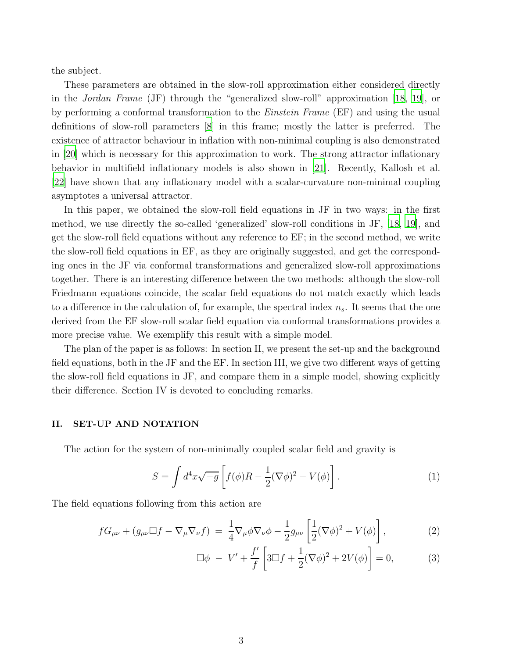the subject.

These parameters are obtained in the slow-roll approximation either considered directly in the *Jordan Frame* (JF) through the "generalized slow-roll" approximation [\[18](#page-9-2), [19](#page-9-3)], or by performing a conformal transformation to the Einstein Frame (EF) and using the usual definitions of slow-roll parameters [\[8\]](#page-8-4) in this frame; mostly the latter is preferred. The existence of attractor behaviour in inflation with non-minimal coupling is also demonstrated in [\[20\]](#page-9-4) which is necessary for this approximation to work. The strong attractor inflationary behavior in multifield inflationary models is also shown in [\[21](#page-9-5)]. Recently, Kallosh et al. [\[22](#page-9-6)] have shown that any inflationary model with a scalar-curvature non-minimal coupling asymptotes a universal attractor.

In this paper, we obtained the slow-roll field equations in JF in two ways: in the first method, we use directly the so-called 'generalized' slow-roll conditions in JF, [\[18](#page-9-2), [19\]](#page-9-3), and get the slow-roll field equations without any reference to EF; in the second method, we write the slow-roll field equations in EF, as they are originally suggested, and get the corresponding ones in the JF via conformal transformations and generalized slow-roll approximations together. There is an interesting difference between the two methods: although the slow-roll Friedmann equations coincide, the scalar field equations do not match exactly which leads to a difference in the calculation of, for example, the spectral index  $n_s$ . It seems that the one derived from the EF slow-roll scalar field equation via conformal transformations provides a more precise value. We exemplify this result with a simple model.

The plan of the paper is as follows: In section II, we present the set-up and the background field equations, both in the JF and the EF. In section III, we give two different ways of getting the slow-roll field equations in JF, and compare them in a simple model, showing explicitly their difference. Section IV is devoted to concluding remarks.

#### II. SET-UP AND NOTATION

The action for the system of non-minimally coupled scalar field and gravity is

$$
S = \int d^4x \sqrt{-g} \left[ f(\phi)R - \frac{1}{2} (\nabla \phi)^2 - V(\phi) \right]. \tag{1}
$$

The field equations following from this action are

$$
fG_{\mu\nu} + (g_{\mu\nu}\Box f - \nabla_{\mu}\nabla_{\nu}f) = \frac{1}{4}\nabla_{\mu}\phi\nabla_{\nu}\phi - \frac{1}{2}g_{\mu\nu}\left[\frac{1}{2}(\nabla\phi)^2 + V(\phi)\right],\tag{2}
$$

$$
\Box \phi - V' + \frac{f'}{f} \left[ 3\Box f + \frac{1}{2} (\nabla \phi)^2 + 2V(\phi) \right] = 0,
$$
 (3)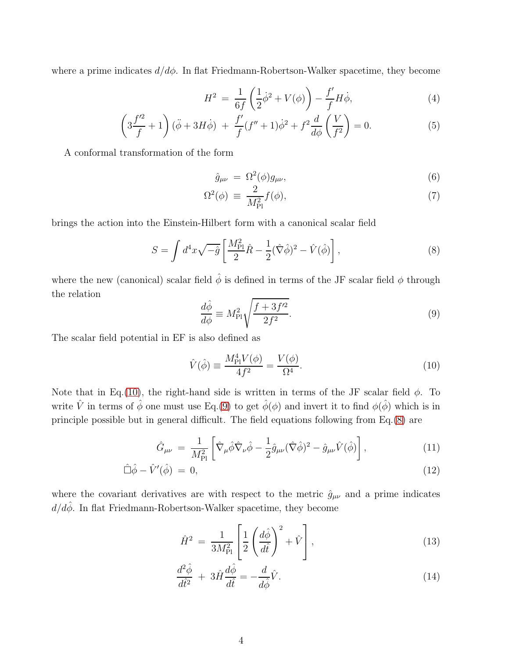where a prime indicates  $d/d\phi$ . In flat Friedmann-Robertson-Walker spacetime, they become

<span id="page-3-4"></span>
$$
H^{2} = \frac{1}{6f} \left( \frac{1}{2} \dot{\phi}^{2} + V(\phi) \right) - \frac{f'}{f} H \dot{\phi}, \tag{4}
$$

$$
\left(3\frac{f'^2}{f} + 1\right)(\ddot{\phi} + 3H\dot{\phi}) + \frac{f'}{f}(f'' + 1)\dot{\phi}^2 + f^2\frac{d}{d\phi}\left(\frac{V}{f^2}\right) = 0.
$$
 (5)

A conformal transformation of the form

<span id="page-3-3"></span>
$$
\hat{g}_{\mu\nu} = \Omega^2(\phi)g_{\mu\nu},\tag{6}
$$

$$
\Omega^2(\phi) \equiv \frac{2}{M_{\rm Pl}^2} f(\phi),\tag{7}
$$

brings the action into the Einstein-Hilbert form with a canonical scalar field

<span id="page-3-2"></span>
$$
S = \int d^4x \sqrt{-\hat{g}} \left[ \frac{M_{\rm Pl}^2}{2} \hat{R} - \frac{1}{2} (\hat{\nabla}\hat{\phi})^2 - \hat{V}(\hat{\phi}) \right],\tag{8}
$$

where the new (canonical) scalar field  $\hat{\phi}$  is defined in terms of the JF scalar field  $\phi$  through the relation

<span id="page-3-1"></span>
$$
\frac{d\hat{\phi}}{d\phi} \equiv M_{\rm Pl}^2 \sqrt{\frac{f + 3f'^2}{2f^2}}.\tag{9}
$$

The scalar field potential in EF is also defined as

<span id="page-3-0"></span>
$$
\hat{V}(\hat{\phi}) \equiv \frac{M_{\rm Pl}^4 V(\phi)}{4f^2} = \frac{V(\phi)}{\Omega^4}.
$$
\n(10)

Note that in Eq.[\(10\)](#page-3-0), the right-hand side is written in terms of the JF scalar field  $\phi$ . To write  $\hat{V}$  in terms of  $\hat{\phi}$  one must use Eq.[\(9\)](#page-3-1) to get  $\hat{\phi}(\phi)$  and invert it to find  $\phi(\hat{\phi})$  which is in principle possible but in general difficult. The field equations following from Eq.[\(8\)](#page-3-2) are

$$
\hat{G}_{\mu\nu} = \frac{1}{M_{\text{Pl}}^2} \left[ \hat{\nabla}_{\mu} \hat{\phi} \hat{\nabla}_{\nu} \hat{\phi} - \frac{1}{2} \hat{g}_{\mu\nu} (\hat{\nabla} \hat{\phi})^2 - \hat{g}_{\mu\nu} \hat{V} (\hat{\phi}) \right],
$$
\n(11)

$$
\hat{\Box}\hat{\phi} - \hat{V}'(\hat{\phi}) = 0, \tag{12}
$$

where the covariant derivatives are with respect to the metric  $\hat{g}_{\mu\nu}$  and a prime indicates  $d/d\hat{\phi}.$  In flat Friedmann-Robertson-Walker spacetime, they become

<span id="page-3-5"></span>
$$
\hat{H}^2 = \frac{1}{3M_{\rm Pl}^2} \left[ \frac{1}{2} \left( \frac{d\hat{\phi}}{d\hat{t}} \right)^2 + \hat{V} \right],\tag{13}
$$

$$
\frac{d^2\hat{\phi}}{d\hat{t}^2} + 3\hat{H}\frac{d\hat{\phi}}{d\hat{t}} = -\frac{d}{d\hat{\phi}}\hat{V}.
$$
\n(14)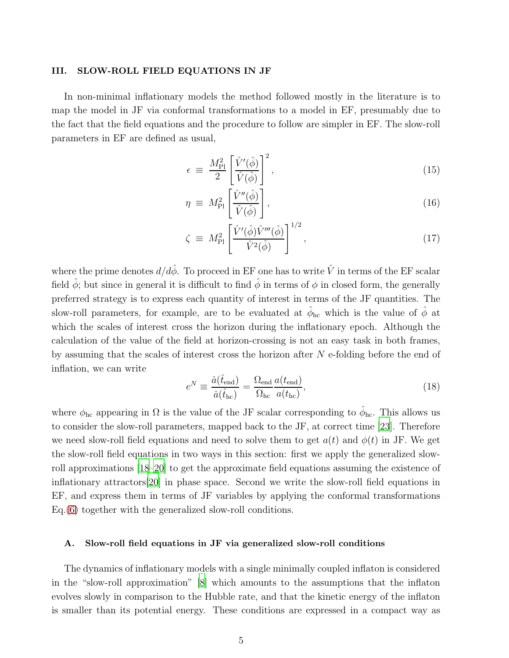#### III. SLOW-ROLL FIELD EQUATIONS IN JF

In non-minimal inflationary models the method followed mostly in the literature is to map the model in JF via conformal transformations to a model in EF, presumably due to the fact that the field equations and the procedure to follow are simpler in EF. The slow-roll parameters in EF are defined as usual,

$$
\epsilon \equiv \frac{M_{\rm Pl}^2}{2} \left[ \frac{\hat{V}'(\hat{\phi})}{\hat{V}(\hat{\phi})} \right]^2, \tag{15}
$$

$$
\eta \equiv M_{\rm Pl}^2 \left[ \frac{\hat{V}''(\hat{\phi})}{\hat{V}(\hat{\phi})} \right], \tag{16}
$$

$$
\zeta \equiv M_{\rm Pl}^2 \left[ \frac{\hat{V}'(\hat{\phi}) \hat{V}'''(\hat{\phi})}{\hat{V}^2(\hat{\phi})} \right]^{1/2}, \qquad (17)
$$

where the prime denotes  $d/d\hat{\phi}$ . To proceed in EF one has to write  $\hat{V}$  in terms of the EF scalar field  $\hat{\phi}$ ; but since in general it is difficult to find  $\hat{\phi}$  in terms of  $\phi$  in closed form, the generally preferred strategy is to express each quantity of interest in terms of the JF quantities. The slow-roll parameters, for example, are to be evaluated at  $\hat{\phi}_{hc}$  which is the value of  $\hat{\phi}$  at which the scales of interest cross the horizon during the inflationary epoch. Although the calculation of the value of the field at horizon-crossing is not an easy task in both frames, by assuming that the scales of interest cross the horizon after  $N$  e-folding before the end of inflation, we can write

<span id="page-4-0"></span>
$$
e^N \equiv \frac{\hat{a}(\hat{t}_{\text{end}})}{\hat{a}(\hat{t}_{\text{hc}})} = \frac{\Omega_{\text{end}}}{\Omega_{\text{hc}}} \frac{a(t_{\text{end}})}{a(t_{\text{hc}})},
$$
(18)

where  $\phi_{hc}$  appearing in  $\Omega$  is the value of the JF scalar corresponding to  $\hat{\phi}_{hc}$ . This allows us to consider the slow-roll parameters, mapped back to the JF, at correct time [\[23](#page-9-7)]. Therefore we need slow-roll field equations and need to solve them to get  $a(t)$  and  $\phi(t)$  in JF. We get the slow-roll field equations in two ways in this section: first we apply the generalized slowroll approximations [\[18](#page-9-2)[–20](#page-9-4)] to get the approximate field equations assuming the existence of inflationary attractors[\[20\]](#page-9-4) in phase space. Second we write the slow-roll field equations in EF, and express them in terms of JF variables by applying the conformal transformations Eq.[\(6\)](#page-3-3) together with the generalized slow-roll conditions.

#### A. Slow-roll field equations in JF via generalized slow-roll conditions

The dynamics of inflationary models with a single minimally coupled inflaton is considered in the "slow-roll approximation" [\[8](#page-8-4)] which amounts to the assumptions that the inflaton evolves slowly in comparison to the Hubble rate, and that the kinetic energy of the inflaton is smaller than its potential energy. These conditions are expressed in a compact way as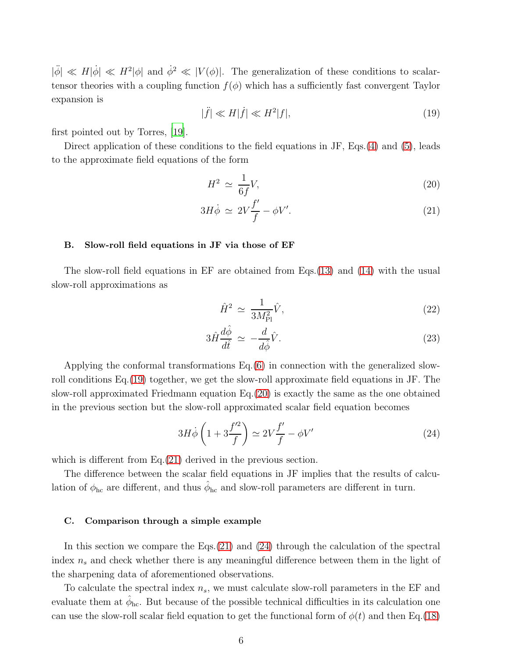$|\ddot{\phi}| \ll H|\dot{\phi}| \ll H^2|\phi|$  and  $\dot{\phi}^2 \ll |V(\phi)|$ . The generalization of these conditions to scalartensor theories with a coupling function  $f(\phi)$  which has a sufficiently fast convergent Taylor expansion is

<span id="page-5-0"></span>
$$
|\ddot{f}| \ll H|\dot{f}| \ll H^2|f|,\tag{19}
$$

first pointed out by Torres, [\[19\]](#page-9-3).

Direct application of these conditions to the field equations in JF, Eqs.[\(4\)](#page-3-4) and [\(5\)](#page-3-4), leads to the approximate field equations of the form

<span id="page-5-1"></span>
$$
H^2 \simeq \frac{1}{6f}V,\tag{20}
$$

$$
3H\dot{\phi} \simeq 2V\frac{f'}{f} - \phi V'.\tag{21}
$$

#### B. Slow-roll field equations in JF via those of EF

The slow-roll field equations in EF are obtained from Eqs.[\(13\)](#page-3-5) and [\(14\)](#page-3-5) with the usual slow-roll approximations as

$$
\hat{H}^2 \simeq \frac{1}{3M_{\rm Pl}^2} \hat{V},\tag{22}
$$

$$
3\hat{H}\frac{d\hat{\phi}}{d\hat{t}} \simeq -\frac{d}{d\hat{\phi}}\hat{V}.\tag{23}
$$

Applying the conformal transformations Eq.[\(6\)](#page-3-3) in connection with the generalized slowroll conditions Eq.[\(19\)](#page-5-0) together, we get the slow-roll approximate field equations in JF. The slow-roll approximated Friedmann equation Eq.[\(20\)](#page-5-1) is exactly the same as the one obtained in the previous section but the slow-roll approximated scalar field equation becomes

<span id="page-5-2"></span>
$$
3H\dot{\phi}\left(1+3\frac{f'^2}{f}\right) \simeq 2V\frac{f'}{f} - \phi V'\tag{24}
$$

which is different from Eq.[\(21\)](#page-5-1) derived in the previous section.

The difference between the scalar field equations in JF implies that the results of calculation of  $\phi_{hc}$  are different, and thus  $\hat{\phi}_{hc}$  and slow-roll parameters are different in turn.

#### C. Comparison through a simple example

In this section we compare the Eqs. $(21)$  and  $(24)$  through the calculation of the spectral index  $n_s$  and check whether there is any meaningful difference between them in the light of the sharpening data of aforementioned observations.

To calculate the spectral index  $n_s$ , we must calculate slow-roll parameters in the EF and evaluate them at  $\hat{\phi}_{hc}$ . But because of the possible technical difficulties in its calculation one can use the slow-roll scalar field equation to get the functional form of  $\phi(t)$  and then Eq.[\(18\)](#page-4-0)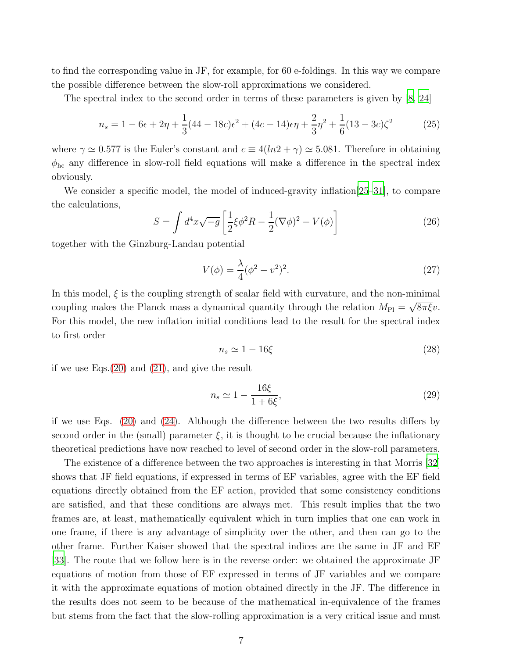to find the corresponding value in JF, for example, for 60 e-foldings. In this way we compare the possible difference between the slow-roll approximations we considered.

The spectral index to the second order in terms of these parameters is given by [\[8](#page-8-4), [24\]](#page-9-8)

$$
n_s = 1 - 6\epsilon + 2\eta + \frac{1}{3}(44 - 18c)\epsilon^2 + (4c - 14)\epsilon\eta + \frac{2}{3}\eta^2 + \frac{1}{6}(13 - 3c)\zeta^2 \tag{25}
$$

where  $\gamma \simeq 0.577$  is the Euler's constant and  $c \equiv 4(ln2 + \gamma) \simeq 5.081$ . Therefore in obtaining  $\phi_{hc}$  any difference in slow-roll field equations will make a difference in the spectral index obviously.

We consider a specific model, the model of induced-gravity inflation [\[25](#page-9-9)[–31](#page-9-10)], to compare the calculations,

$$
S = \int d^4x \sqrt{-g} \left[ \frac{1}{2} \xi \phi^2 R - \frac{1}{2} (\nabla \phi)^2 - V(\phi) \right]
$$
 (26)

together with the Ginzburg-Landau potential

$$
V(\phi) = \frac{\lambda}{4} (\phi^2 - v^2)^2.
$$
 (27)

In this model,  $\xi$  is the coupling strength of scalar field with curvature, and the non-minimal coupling makes the Planck mass a dynamical quantity through the relation  $M_{\text{Pl}} = \sqrt{8\pi \xi}v$ . For this model, the new inflation initial conditions lead to the result for the spectral index to first order

$$
n_s \simeq 1 - 16\xi \tag{28}
$$

if we use Eqs.[\(20\)](#page-5-1) and [\(21\)](#page-5-1), and give the result

$$
n_s \simeq 1 - \frac{16\xi}{1 + 6\xi},\tag{29}
$$

if we use Eqs. [\(20\)](#page-5-1) and [\(24\)](#page-5-2). Although the difference between the two results differs by second order in the (small) parameter  $\xi$ , it is thought to be crucial because the inflationary theoretical predictions have now reached to level of second order in the slow-roll parameters.

The existence of a difference between the two approaches is interesting in that Morris [\[32\]](#page-10-0) shows that JF field equations, if expressed in terms of EF variables, agree with the EF field equations directly obtained from the EF action, provided that some consistency conditions are satisfied, and that these conditions are always met. This result implies that the two frames are, at least, mathematically equivalent which in turn implies that one can work in one frame, if there is any advantage of simplicity over the other, and then can go to the other frame. Further Kaiser showed that the spectral indices are the same in JF and EF [\[33](#page-10-1)]. The route that we follow here is in the reverse order: we obtained the approximate JF equations of motion from those of EF expressed in terms of JF variables and we compare it with the approximate equations of motion obtained directly in the JF. The difference in the results does not seem to be because of the mathematical in-equivalence of the frames but stems from the fact that the slow-rolling approximation is a very critical issue and must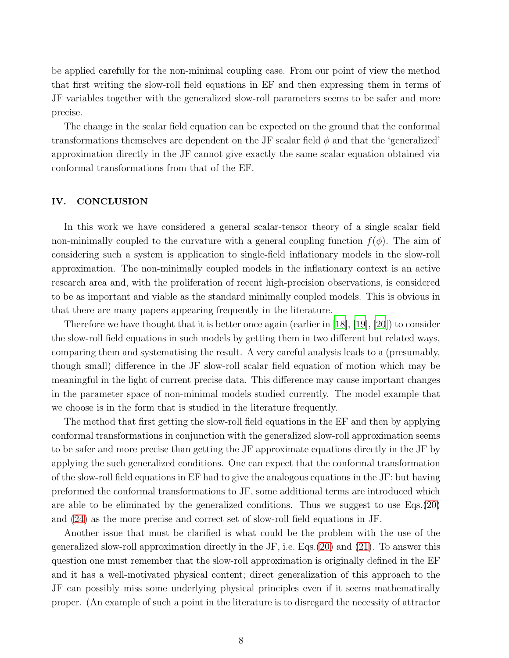be applied carefully for the non-minimal coupling case. From our point of view the method that first writing the slow-roll field equations in EF and then expressing them in terms of JF variables together with the generalized slow-roll parameters seems to be safer and more precise.

The change in the scalar field equation can be expected on the ground that the conformal transformations themselves are dependent on the JF scalar field  $\phi$  and that the 'generalized' approximation directly in the JF cannot give exactly the same scalar equation obtained via conformal transformations from that of the EF.

### IV. CONCLUSION

In this work we have considered a general scalar-tensor theory of a single scalar field non-minimally coupled to the curvature with a general coupling function  $f(\phi)$ . The aim of considering such a system is application to single-field inflationary models in the slow-roll approximation. The non-minimally coupled models in the inflationary context is an active research area and, with the proliferation of recent high-precision observations, is considered to be as important and viable as the standard minimally coupled models. This is obvious in that there are many papers appearing frequently in the literature.

Therefore we have thought that it is better once again (earlier in [\[18](#page-9-2)], [\[19\]](#page-9-3), [\[20](#page-9-4)]) to consider the slow-roll field equations in such models by getting them in two different but related ways, comparing them and systematising the result. A very careful analysis leads to a (presumably, though small) difference in the JF slow-roll scalar field equation of motion which may be meaningful in the light of current precise data. This difference may cause important changes in the parameter space of non-minimal models studied currently. The model example that we choose is in the form that is studied in the literature frequently.

The method that first getting the slow-roll field equations in the EF and then by applying conformal transformations in conjunction with the generalized slow-roll approximation seems to be safer and more precise than getting the JF approximate equations directly in the JF by applying the such generalized conditions. One can expect that the conformal transformation of the slow-roll field equations in EF had to give the analogous equations in the JF; but having preformed the conformal transformations to JF, some additional terms are introduced which are able to be eliminated by the generalized conditions. Thus we suggest to use Eqs.[\(20\)](#page-5-1) and [\(24\)](#page-5-2) as the more precise and correct set of slow-roll field equations in JF.

Another issue that must be clarified is what could be the problem with the use of the generalized slow-roll approximation directly in the JF, i.e. Eqs.[\(20\)](#page-5-1) and [\(21\)](#page-5-1). To answer this question one must remember that the slow-roll approximation is originally defined in the EF and it has a well-motivated physical content; direct generalization of this approach to the JF can possibly miss some underlying physical principles even if it seems mathematically proper. (An example of such a point in the literature is to disregard the necessity of attractor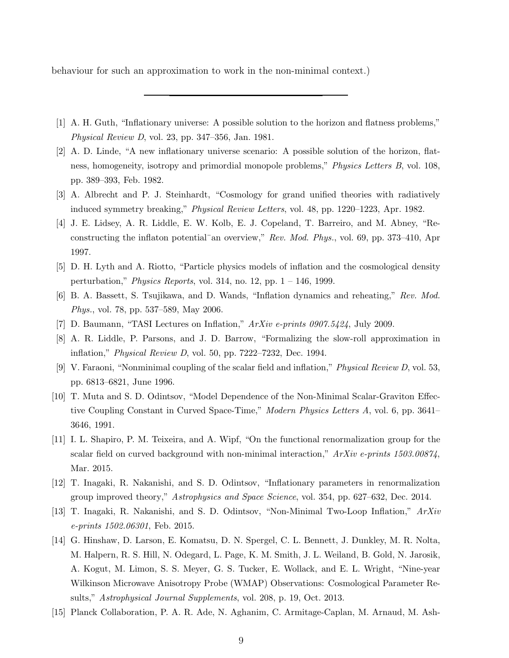behaviour for such an approximation to work in the non-minimal context.)

- <span id="page-8-0"></span>[1] A. H. Guth, "Inflationary universe: A possible solution to the horizon and flatness problems," Physical Review D, vol. 23, pp. 347–356, Jan. 1981.
- [2] A. D. Linde, "A new inflationary universe scenario: A possible solution of the horizon, flatness, homogeneity, isotropy and primordial monopole problems," Physics Letters B, vol. 108, pp. 389–393, Feb. 1982.
- <span id="page-8-1"></span>[3] A. Albrecht and P. J. Steinhardt, "Cosmology for grand unified theories with radiatively induced symmetry breaking," Physical Review Letters, vol. 48, pp. 1220–1223, Apr. 1982.
- <span id="page-8-2"></span>[4] J. E. Lidsey, A. R. Liddle, E. W. Kolb, E. J. Copeland, T. Barreiro, and M. Abney, "Reconstructing the inflaton potential<sup>-</sup>an overview," Rev. Mod. Phys., vol. 69, pp. 373–410, Apr 1997.
- [5] D. H. Lyth and A. Riotto, "Particle physics models of inflation and the cosmological density perturbation," *Physics Reports*, vol. 314, no. 12, pp.  $1 - 146$ , 1999.
- [6] B. A. Bassett, S. Tsujikawa, and D. Wands, "Inflation dynamics and reheating," Rev. Mod. Phys., vol. 78, pp. 537–589, May 2006.
- <span id="page-8-3"></span>[7] D. Baumann, "TASI Lectures on Inflation," ArXiv e-prints 0907.5424, July 2009.
- <span id="page-8-4"></span>[8] A. R. Liddle, P. Parsons, and J. D. Barrow, "Formalizing the slow-roll approximation in inflation," Physical Review D, vol. 50, pp. 7222–7232, Dec. 1994.
- <span id="page-8-5"></span>[9] V. Faraoni, "Nonminimal coupling of the scalar field and inflation," Physical Review D, vol. 53, pp. 6813–6821, June 1996.
- <span id="page-8-6"></span>[10] T. Muta and S. D. Odintsov, "Model Dependence of the Non-Minimal Scalar-Graviton Effective Coupling Constant in Curved Space-Time," Modern Physics Letters A, vol. 6, pp. 3641– 3646, 1991.
- <span id="page-8-7"></span>[11] I. L. Shapiro, P. M. Teixeira, and A. Wipf, "On the functional renormalization group for the scalar field on curved background with non-minimal interaction,"  $ArXiv$  e-prints 1503.00874, Mar. 2015.
- <span id="page-8-8"></span>[12] T. Inagaki, R. Nakanishi, and S. D. Odintsov, "Inflationary parameters in renormalization group improved theory," Astrophysics and Space Science, vol. 354, pp. 627–632, Dec. 2014.
- <span id="page-8-9"></span>[13] T. Inagaki, R. Nakanishi, and S. D. Odintsov, "Non-Minimal Two-Loop Inflation," ArXiv e-prints 1502.06301, Feb. 2015.
- <span id="page-8-10"></span>[14] G. Hinshaw, D. Larson, E. Komatsu, D. N. Spergel, C. L. Bennett, J. Dunkley, M. R. Nolta, M. Halpern, R. S. Hill, N. Odegard, L. Page, K. M. Smith, J. L. Weiland, B. Gold, N. Jarosik, A. Kogut, M. Limon, S. S. Meyer, G. S. Tucker, E. Wollack, and E. L. Wright, "Nine-year Wilkinson Microwave Anisotropy Probe (WMAP) Observations: Cosmological Parameter Results," Astrophysical Journal Supplements, vol. 208, p. 19, Oct. 2013.
- [15] Planck Collaboration, P. A. R. Ade, N. Aghanim, C. Armitage-Caplan, M. Arnaud, M. Ash-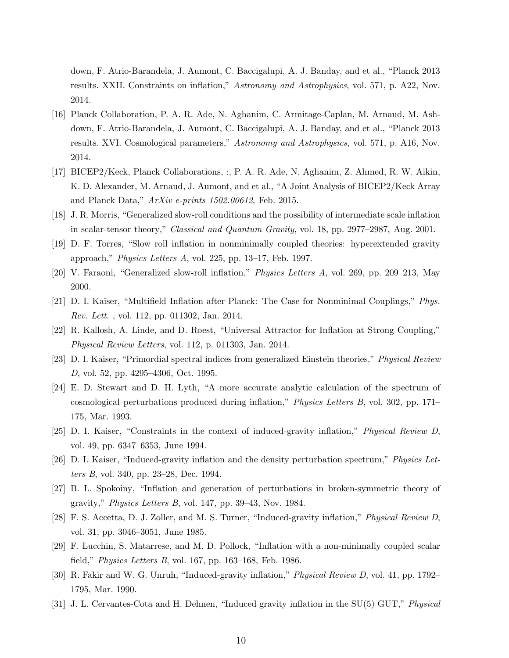down, F. Atrio-Barandela, J. Aumont, C. Baccigalupi, A. J. Banday, and et al., "Planck 2013 results. XXII. Constraints on inflation," Astronomy and Astrophysics, vol. 571, p. A22, Nov. 2014.

- <span id="page-9-0"></span>[16] Planck Collaboration, P. A. R. Ade, N. Aghanim, C. Armitage-Caplan, M. Arnaud, M. Ashdown, F. Atrio-Barandela, J. Aumont, C. Baccigalupi, A. J. Banday, and et al., "Planck 2013 results. XVI. Cosmological parameters," Astronomy and Astrophysics, vol. 571, p. A16, Nov. 2014.
- <span id="page-9-1"></span>[17] BICEP2/Keck, Planck Collaborations, :, P. A. R. Ade, N. Aghanim, Z. Ahmed, R. W. Aikin, K. D. Alexander, M. Arnaud, J. Aumont, and et al., "A Joint Analysis of BICEP2/Keck Array and Planck Data," ArXiv e-prints 1502.00612, Feb. 2015.
- <span id="page-9-2"></span>[18] J. R. Morris, "Generalized slow-roll conditions and the possibility of intermediate scale inflation in scalar-tensor theory," Classical and Quantum Gravity, vol. 18, pp. 2977–2987, Aug. 2001.
- <span id="page-9-3"></span>[19] D. F. Torres, "Slow roll inflation in nonminimally coupled theories: hyperextended gravity approach," Physics Letters A, vol. 225, pp. 13–17, Feb. 1997.
- <span id="page-9-4"></span>[20] V. Faraoni, "Generalized slow-roll inflation," Physics Letters A, vol. 269, pp. 209–213, May 2000.
- <span id="page-9-5"></span>[21] D. I. Kaiser, "Multifield Inflation after Planck: The Case for Nonminimal Couplings," Phys. Rev. Lett. , vol. 112, pp. 011302, Jan. 2014.
- <span id="page-9-6"></span>[22] R. Kallosh, A. Linde, and D. Roest, "Universal Attractor for Inflation at Strong Coupling," Physical Review Letters, vol. 112, p. 011303, Jan. 2014.
- <span id="page-9-7"></span>[23] D. I. Kaiser, "Primordial spectral indices from generalized Einstein theories," Physical Review D, vol. 52, pp. 4295–4306, Oct. 1995.
- <span id="page-9-8"></span>[24] E. D. Stewart and D. H. Lyth, "A more accurate analytic calculation of the spectrum of cosmological perturbations produced during inflation," Physics Letters B, vol. 302, pp. 171– 175, Mar. 1993.
- <span id="page-9-9"></span>[25] D. I. Kaiser, "Constraints in the context of induced-gravity inflation," Physical Review D, vol. 49, pp. 6347–6353, June 1994.
- [26] D. I. Kaiser, "Induced-gravity inflation and the density perturbation spectrum," Physics Letters B, vol. 340, pp. 23–28, Dec. 1994.
- [27] B. L. Spokoiny, "Inflation and generation of perturbations in broken-symmetric theory of gravity," Physics Letters B, vol. 147, pp. 39–43, Nov. 1984.
- [28] F. S. Accetta, D. J. Zoller, and M. S. Turner, "Induced-gravity inflation," Physical Review D, vol. 31, pp. 3046–3051, June 1985.
- [29] F. Lucchin, S. Matarrese, and M. D. Pollock, "Inflation with a non-minimally coupled scalar field," Physics Letters B, vol. 167, pp. 163–168, Feb. 1986.
- [30] R. Fakir and W. G. Unruh, "Induced-gravity inflation," Physical Review D, vol. 41, pp. 1792– 1795, Mar. 1990.
- <span id="page-9-10"></span>[31] J. L. Cervantes-Cota and H. Dehnen, "Induced gravity inflation in the SU(5) GUT," Physical